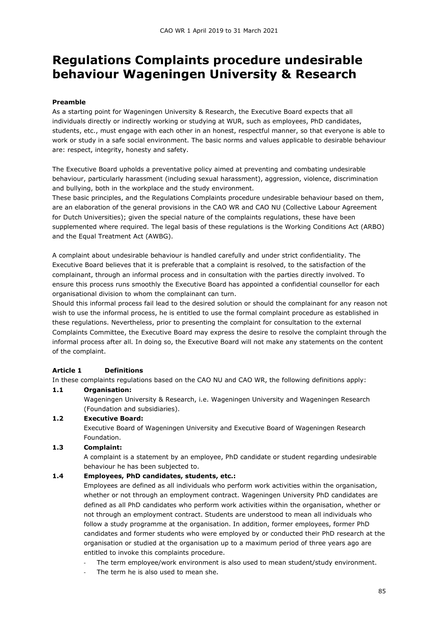# Regulations Complaints procedure undesirable behaviour Wageningen University & Research

#### Preamble

As a starting point for Wageningen University & Research, the Executive Board expects that all individuals directly or indirectly working or studying at WUR, such as employees, PhD candidates, students, etc., must engage with each other in an honest, respectful manner, so that everyone is able to work or study in a safe social environment. The basic norms and values applicable to desirable behaviour are: respect, integrity, honesty and safety.

The Executive Board upholds a preventative policy aimed at preventing and combating undesirable behaviour, particularly harassment (including sexual harassment), aggression, violence, discrimination and bullying, both in the workplace and the study environment.

These basic principles, and the Regulations Complaints procedure undesirable behaviour based on them, are an elaboration of the general provisions in the CAO WR and CAO NU (Collective Labour Agreement for Dutch Universities); given the special nature of the complaints regulations, these have been supplemented where required. The legal basis of these regulations is the Working Conditions Act (ARBO) and the Equal Treatment Act (AWBG).

A complaint about undesirable behaviour is handled carefully and under strict confidentiality. The Executive Board believes that it is preferable that a complaint is resolved, to the satisfaction of the complainant, through an informal process and in consultation with the parties directly involved. To ensure this process runs smoothly the Executive Board has appointed a confidential counsellor for each organisational division to whom the complainant can turn.

Should this informal process fail lead to the desired solution or should the complainant for any reason not wish to use the informal process, he is entitled to use the formal complaint procedure as established in these regulations. Nevertheless, prior to presenting the complaint for consultation to the external Complaints Committee, the Executive Board may express the desire to resolve the complaint through the informal process after all. In doing so, the Executive Board will not make any statements on the content of the complaint.

## Article 1 Definitions

In these complaints regulations based on the CAO NU and CAO WR, the following definitions apply:

#### 1.1 Organisation:

Wageningen University & Research, i.e. Wageningen University and Wageningen Research (Foundation and subsidiaries).

## 1.2 Executive Board:

Executive Board of Wageningen University and Executive Board of Wageningen Research Foundation.

## 1.3 Complaint:

A complaint is a statement by an employee, PhD candidate or student regarding undesirable behaviour he has been subjected to.

#### 1.4 Employees, PhD candidates, students, etc.:

Employees are defined as all individuals who perform work activities within the organisation, whether or not through an employment contract. Wageningen University PhD candidates are defined as all PhD candidates who perform work activities within the organisation, whether or not through an employment contract. Students are understood to mean all individuals who follow a study programme at the organisation. In addition, former employees, former PhD candidates and former students who were employed by or conducted their PhD research at the organisation or studied at the organisation up to a maximum period of three years ago are entitled to invoke this complaints procedure.

- The term employee/work environment is also used to mean student/study environment.
- The term he is also used to mean she.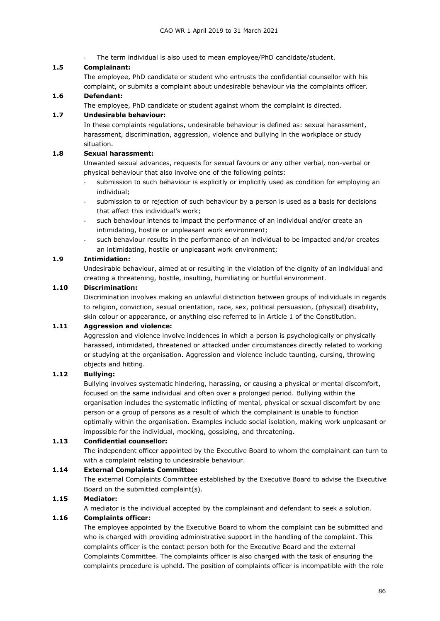The term individual is also used to mean employee/PhD candidate/student.

#### 1.5 Complainant:

The employee, PhD candidate or student who entrusts the confidential counsellor with his complaint, or submits a complaint about undesirable behaviour via the complaints officer.

#### 1.6 Defendant:

The employee, PhD candidate or student against whom the complaint is directed.

#### 1.7 Undesirable behaviour:

In these complaints regulations, undesirable behaviour is defined as: sexual harassment, harassment, discrimination, aggression, violence and bullying in the workplace or study situation.

## 1.8 Sexual harassment:

Unwanted sexual advances, requests for sexual favours or any other verbal, non-verbal or physical behaviour that also involve one of the following points:

- submission to such behaviour is explicitly or implicitly used as condition for employing an individual;
- submission to or rejection of such behaviour by a person is used as a basis for decisions that affect this individual's work;
- such behaviour intends to impact the performance of an individual and/or create an intimidating, hostile or unpleasant work environment;
- such behaviour results in the performance of an individual to be impacted and/or creates an intimidating, hostile or unpleasant work environment;

#### 1.9 Intimidation:

Undesirable behaviour, aimed at or resulting in the violation of the dignity of an individual and creating a threatening, hostile, insulting, humiliating or hurtful environment.

#### 1.10 Discrimination:

Discrimination involves making an unlawful distinction between groups of individuals in regards to religion, conviction, sexual orientation, race, sex, political persuasion, (physical) disability, skin colour or appearance, or anything else referred to in Article 1 of the Constitution.

#### 1.11 Aggression and violence:

Aggression and violence involve incidences in which a person is psychologically or physically harassed, intimidated, threatened or attacked under circumstances directly related to working or studying at the organisation. Aggression and violence include taunting, cursing, throwing objects and hitting.

#### 1.12 Bullying:

Bullying involves systematic hindering, harassing, or causing a physical or mental discomfort, focused on the same individual and often over a prolonged period. Bullying within the organisation includes the systematic inflicting of mental, physical or sexual discomfort by one person or a group of persons as a result of which the complainant is unable to function optimally within the organisation. Examples include social isolation, making work unpleasant or impossible for the individual, mocking, gossiping, and threatening.

#### 1.13 Confidential counsellor:

The independent officer appointed by the Executive Board to whom the complainant can turn to with a complaint relating to undesirable behaviour.

## 1.14 External Complaints Committee:

The external Complaints Committee established by the Executive Board to advise the Executive Board on the submitted complaint(s).

## 1.15 Mediator:

A mediator is the individual accepted by the complainant and defendant to seek a solution.

#### 1.16 Complaints officer:

The employee appointed by the Executive Board to whom the complaint can be submitted and who is charged with providing administrative support in the handling of the complaint. This complaints officer is the contact person both for the Executive Board and the external Complaints Committee. The complaints officer is also charged with the task of ensuring the complaints procedure is upheld. The position of complaints officer is incompatible with the role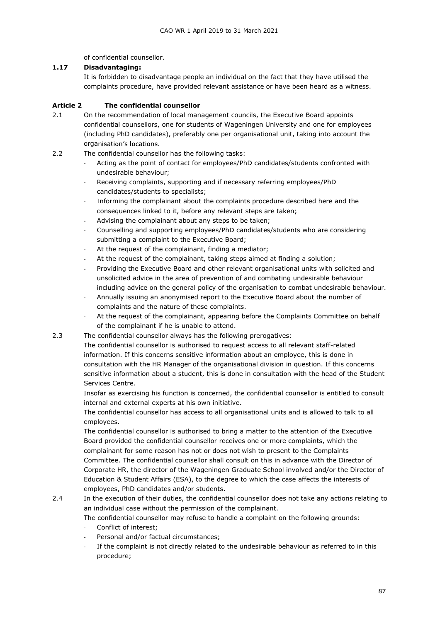of confidential counsellor.

## 1.17 Disadvantaging:

It is forbidden to disadvantage people an individual on the fact that they have utilised the complaints procedure, have provided relevant assistance or have been heard as a witness.

# Article 2 The confidential counsellor

- 2.1 On the recommendation of local management councils, the Executive Board appoints confidential counsellors, one for students of Wageningen University and one for employees (including PhD candidates), preferably one per organisational unit, taking into account the organisation's locations.
- 2.2 The confidential counsellor has the following tasks:
	- Acting as the point of contact for employees/PhD candidates/students confronted with undesirable behaviour;
	- Receiving complaints, supporting and if necessary referring employees/PhD candidates/students to specialists;
	- Informing the complainant about the complaints procedure described here and the consequences linked to it, before any relevant steps are taken;
	- Advising the complainant about any steps to be taken;
	- Counselling and supporting employees/PhD candidates/students who are considering submitting a complaint to the Executive Board;
	- At the request of the complainant, finding a mediator;
	- At the request of the complainant, taking steps aimed at finding a solution;
	- Providing the Executive Board and other relevant organisational units with solicited and unsolicited advice in the area of prevention of and combating undesirable behaviour including advice on the general policy of the organisation to combat undesirable behaviour.
	- Annually issuing an anonymised report to the Executive Board about the number of complaints and the nature of these complaints.
	- At the request of the complainant, appearing before the Complaints Committee on behalf of the complainant if he is unable to attend.
- 2.3 The confidential counsellor always has the following prerogatives:

The confidential counsellor is authorised to request access to all relevant staff-related information. If this concerns sensitive information about an employee, this is done in consultation with the HR Manager of the organisational division in question. If this concerns sensitive information about a student, this is done in consultation with the head of the Student Services Centre.

Insofar as exercising his function is concerned, the confidential counsellor is entitled to consult internal and external experts at his own initiative.

The confidential counsellor has access to all organisational units and is allowed to talk to all employees.

The confidential counsellor is authorised to bring a matter to the attention of the Executive Board provided the confidential counsellor receives one or more complaints, which the complainant for some reason has not or does not wish to present to the Complaints Committee. The confidential counsellor shall consult on this in advance with the Director of Corporate HR, the director of the Wageningen Graduate School involved and/or the Director of Education & Student Affairs (ESA), to the degree to which the case affects the interests of employees, PhD candidates and/or students.

2.4 In the execution of their duties, the confidential counsellor does not take any actions relating to an individual case without the permission of the complainant.

The confidential counsellor may refuse to handle a complaint on the following grounds:

- Conflict of interest;
- Personal and/or factual circumstances;
- If the complaint is not directly related to the undesirable behaviour as referred to in this procedure;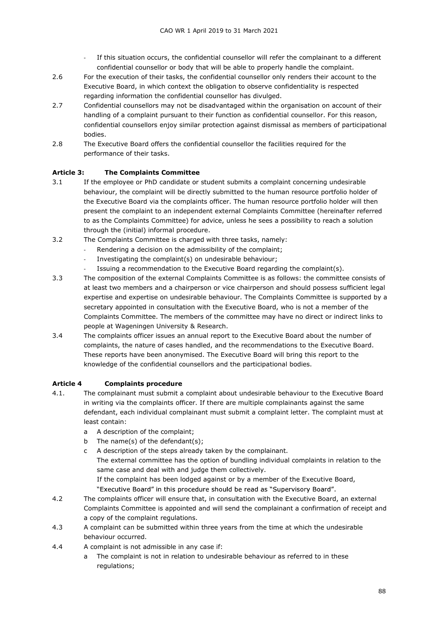- If this situation occurs, the confidential counsellor will refer the complainant to a different confidential counsellor or body that will be able to properly handle the complaint.
- 2.6 For the execution of their tasks, the confidential counsellor only renders their account to the Executive Board, in which context the obligation to observe confidentiality is respected regarding information the confidential counsellor has divulged.
- 2.7 Confidential counsellors may not be disadvantaged within the organisation on account of their handling of a complaint pursuant to their function as confidential counsellor. For this reason, confidential counsellors enjoy similar protection against dismissal as members of participational bodies.
- 2.8 The Executive Board offers the confidential counsellor the facilities required for the performance of their tasks.

## Article 3: The Complaints Committee

- 3.1 If the employee or PhD candidate or student submits a complaint concerning undesirable behaviour, the complaint will be directly submitted to the human resource portfolio holder of the Executive Board via the complaints officer. The human resource portfolio holder will then present the complaint to an independent external Complaints Committee (hereinafter referred to as the Complaints Committee) for advice, unless he sees a possibility to reach a solution through the (initial) informal procedure.
- 3.2 The Complaints Committee is charged with three tasks, namely:
	- Rendering a decision on the admissibility of the complaint;
	- Investigating the complaint(s) on undesirable behaviour;
	- Issuing a recommendation to the Executive Board regarding the complaint(s).
- 3.3 The composition of the external Complaints Committee is as follows: the committee consists of at least two members and a chairperson or vice chairperson and should possess sufficient legal expertise and expertise on undesirable behaviour. The Complaints Committee is supported by a secretary appointed in consultation with the Executive Board, who is not a member of the Complaints Committee. The members of the committee may have no direct or indirect links to people at Wageningen University & Research.
- 3.4 The complaints officer issues an annual report to the Executive Board about the number of complaints, the nature of cases handled, and the recommendations to the Executive Board. These reports have been anonymised. The Executive Board will bring this report to the knowledge of the confidential counsellors and the participational bodies.

## Article 4 Complaints procedure

- 4.1. The complainant must submit a complaint about undesirable behaviour to the Executive Board in writing via the complaints officer. If there are multiple complainants against the same defendant, each individual complainant must submit a complaint letter. The complaint must at least contain:
	- a A description of the complaint;
	- b The name(s) of the defendant(s);
	- c A description of the steps already taken by the complainant.

The external committee has the option of bundling individual complaints in relation to the same case and deal with and judge them collectively.

If the complaint has been lodged against or by a member of the Executive Board, "Executive Board" in this procedure should be read as "Supervisory Board".

- 4.2 The complaints officer will ensure that, in consultation with the Executive Board, an external Complaints Committee is appointed and will send the complainant a confirmation of receipt and a copy of the complaint regulations.
- 4.3 A complaint can be submitted within three years from the time at which the undesirable behaviour occurred.
- 4.4 A complaint is not admissible in any case if:
	- a The complaint is not in relation to undesirable behaviour as referred to in these regulations;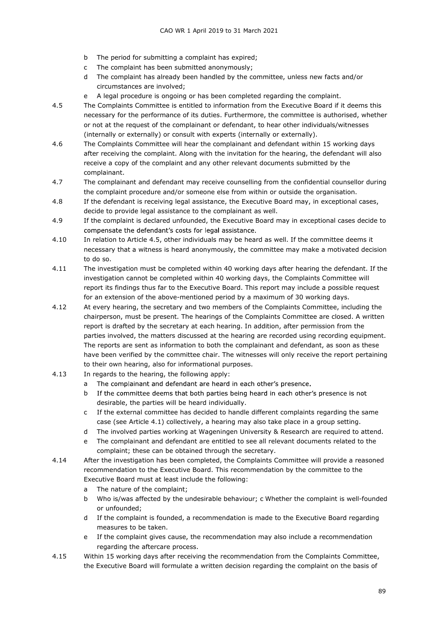- b The period for submitting a complaint has expired;
- c The complaint has been submitted anonymously;
- d The complaint has already been handled by the committee, unless new facts and/or circumstances are involved;
- e A legal procedure is ongoing or has been completed regarding the complaint.
- 4.5 The Complaints Committee is entitled to information from the Executive Board if it deems this necessary for the performance of its duties. Furthermore, the committee is authorised, whether or not at the request of the complainant or defendant, to hear other individuals/witnesses (internally or externally) or consult with experts (internally or externally).
- 4.6 The Complaints Committee will hear the complainant and defendant within 15 working days after receiving the complaint. Along with the invitation for the hearing, the defendant will also receive a copy of the complaint and any other relevant documents submitted by the complainant.
- 4.7 The complainant and defendant may receive counselling from the confidential counsellor during the complaint procedure and/or someone else from within or outside the organisation.
- 4.8 If the defendant is receiving legal assistance, the Executive Board may, in exceptional cases, decide to provide legal assistance to the complainant as well.
- 4.9 If the complaint is declared unfounded, the Executive Board may in exceptional cases decide to compensate the defendant's costs for legal assistance.
- 4.10 In relation to Article 4.5, other individuals may be heard as well. If the committee deems it necessary that a witness is heard anonymously, the committee may make a motivated decision to do so.
- 4.11 The investigation must be completed within 40 working days after hearing the defendant. If the investigation cannot be completed within 40 working days, the Complaints Committee will report its findings thus far to the Executive Board. This report may include a possible request for an extension of the above-mentioned period by a maximum of 30 working days.
- 4.12 At every hearing, the secretary and two members of the Complaints Committee, including the chairperson, must be present. The hearings of the Complaints Committee are closed. A written report is drafted by the secretary at each hearing. In addition, after permission from the parties involved, the matters discussed at the hearing are recorded using recording equipment. The reports are sent as information to both the complainant and defendant, as soon as these have been verified by the committee chair. The witnesses will only receive the report pertaining to their own hearing, also for informational purposes.
- 4.13 In regards to the hearing, the following apply:
	- a The complainant and defendant are heard in each other's presence.
	- b If the committee deems that both parties being heard in each other's presence is not desirable, the parties will be heard individually.
	- c If the external committee has decided to handle different complaints regarding the same case (see Article 4.1) collectively, a hearing may also take place in a group setting.
	- d The involved parties working at Wageningen University & Research are required to attend.
	- e The complainant and defendant are entitled to see all relevant documents related to the complaint; these can be obtained through the secretary.
- 4.14 After the investigation has been completed, the Complaints Committee will provide a reasoned recommendation to the Executive Board. This recommendation by the committee to the Executive Board must at least include the following:
	- a The nature of the complaint;
	- b Who is/was affected by the undesirable behaviour; c Whether the complaint is well-founded or unfounded;
	- d If the complaint is founded, a recommendation is made to the Executive Board regarding measures to be taken.
	- e If the complaint gives cause, the recommendation may also include a recommendation regarding the aftercare process.
- 4.15 Within 15 working days after receiving the recommendation from the Complaints Committee, the Executive Board will formulate a written decision regarding the complaint on the basis of